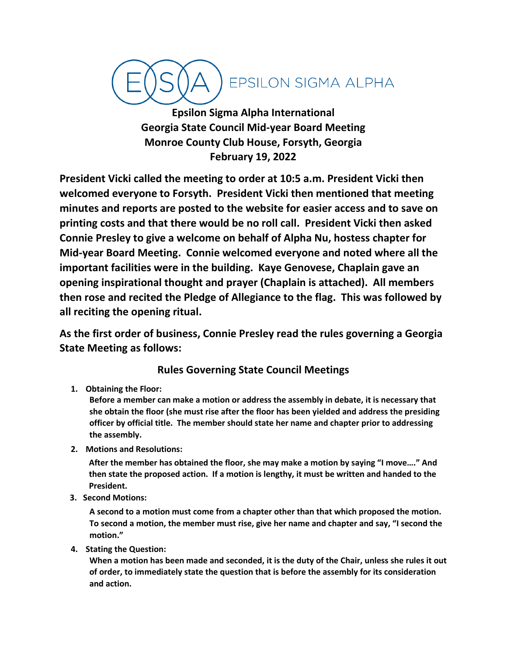

**Epsilon Sigma Alpha International Georgia State Council Mid-year Board Meeting Monroe County Club House, Forsyth, Georgia February 19, 2022**

**President Vicki called the meeting to order at 10:5 a.m. President Vicki then welcomed everyone to Forsyth. President Vicki then mentioned that meeting minutes and reports are posted to the website for easier access and to save on printing costs and that there would be no roll call. President Vicki then asked Connie Presley to give a welcome on behalf of Alpha Nu, hostess chapter for Mid-year Board Meeting. Connie welcomed everyone and noted where all the important facilities were in the building. Kaye Genovese, Chaplain gave an opening inspirational thought and prayer (Chaplain is attached). All members then rose and recited the Pledge of Allegiance to the flag. This was followed by all reciting the opening ritual.**

**As the first order of business, Connie Presley read the rules governing a Georgia State Meeting as follows:**

## **Rules Governing State Council Meetings**

**1. Obtaining the Floor:**

**Before a member can make a motion or address the assembly in debate, it is necessary that she obtain the floor (she must rise after the floor has been yielded and address the presiding officer by official title. The member should state her name and chapter prior to addressing the assembly.**

**2. Motions and Resolutions:**

 **After the member has obtained the floor, she may make a motion by saying "I move…." And then state the proposed action. If a motion is lengthy, it must be written and handed to the President.** 

 **3. Second Motions:** 

**A second to a motion must come from a chapter other than that which proposed the motion. To second a motion, the member must rise, give her name and chapter and say, "I second the motion."**

**4. Stating the Question:**

**When a motion has been made and seconded, it is the duty of the Chair, unless she rules it out of order, to immediately state the question that is before the assembly for its consideration and action.**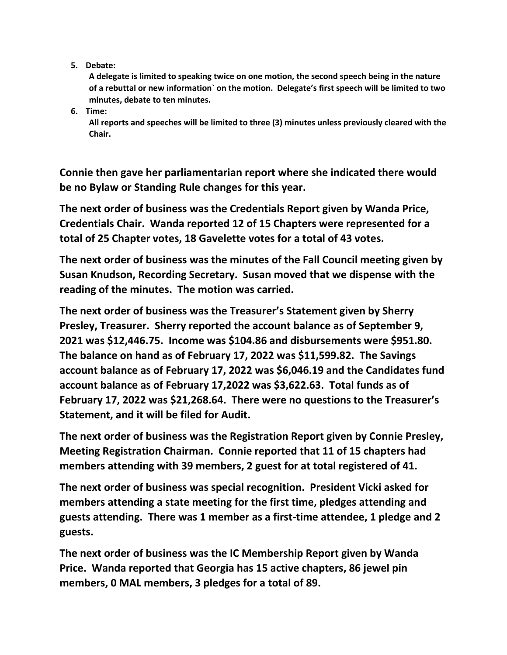## **5. Debate:**

 **A delegate is limited to speaking twice on one motion, the second speech being in the nature of a rebuttal or new information` on the motion. Delegate's first speech will be limited to two minutes, debate to ten minutes.**

**6. Time:**

 **All reports and speeches will be limited to three (3) minutes unless previously cleared with the Chair.**

**Connie then gave her parliamentarian report where she indicated there would be no Bylaw or Standing Rule changes for this year.**

**The next order of business was the Credentials Report given by Wanda Price, Credentials Chair. Wanda reported 12 of 15 Chapters were represented for a total of 25 Chapter votes, 18 Gavelette votes for a total of 43 votes.**

**The next order of business was the minutes of the Fall Council meeting given by Susan Knudson, Recording Secretary. Susan moved that we dispense with the reading of the minutes. The motion was carried.**

**The next order of business was the Treasurer's Statement given by Sherry Presley, Treasurer. Sherry reported the account balance as of September 9, 2021 was \$12,446.75. Income was \$104.86 and disbursements were \$951.80. The balance on hand as of February 17, 2022 was \$11,599.82. The Savings account balance as of February 17, 2022 was \$6,046.19 and the Candidates fund account balance as of February 17,2022 was \$3,622.63. Total funds as of February 17, 2022 was \$21,268.64. There were no questions to the Treasurer's Statement, and it will be filed for Audit.**

**The next order of business was the Registration Report given by Connie Presley, Meeting Registration Chairman. Connie reported that 11 of 15 chapters had members attending with 39 members, 2 guest for at total registered of 41.**

**The next order of business was special recognition. President Vicki asked for members attending a state meeting for the first time, pledges attending and guests attending. There was 1 member as a first-time attendee, 1 pledge and 2 guests.**

**The next order of business was the IC Membership Report given by Wanda Price. Wanda reported that Georgia has 15 active chapters, 86 jewel pin members, 0 MAL members, 3 pledges for a total of 89.**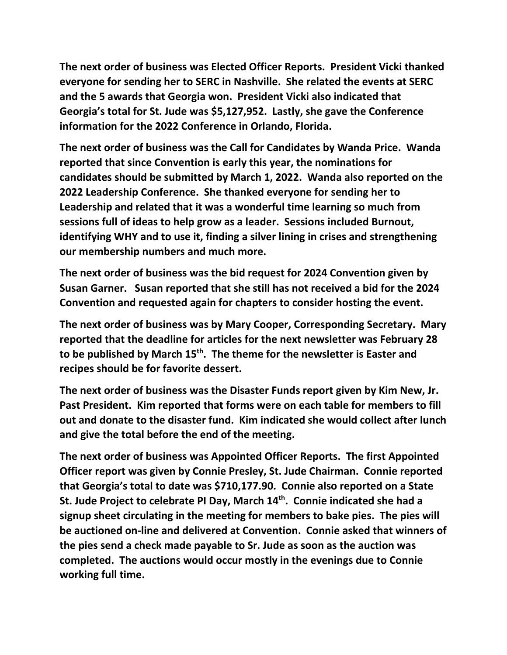**The next order of business was Elected Officer Reports. President Vicki thanked everyone for sending her to SERC in Nashville. She related the events at SERC and the 5 awards that Georgia won. President Vicki also indicated that Georgia's total for St. Jude was \$5,127,952. Lastly, she gave the Conference information for the 2022 Conference in Orlando, Florida.**

**The next order of business was the Call for Candidates by Wanda Price. Wanda reported that since Convention is early this year, the nominations for candidates should be submitted by March 1, 2022. Wanda also reported on the 2022 Leadership Conference. She thanked everyone for sending her to Leadership and related that it was a wonderful time learning so much from sessions full of ideas to help grow as a leader. Sessions included Burnout, identifying WHY and to use it, finding a silver lining in crises and strengthening our membership numbers and much more.** 

**The next order of business was the bid request for 2024 Convention given by Susan Garner. Susan reported that she still has not received a bid for the 2024 Convention and requested again for chapters to consider hosting the event.**

**The next order of business was by Mary Cooper, Corresponding Secretary. Mary reported that the deadline for articles for the next newsletter was February 28**  to be published by March 15<sup>th</sup>. The theme for the newsletter is Easter and **recipes should be for favorite dessert.**

**The next order of business was the Disaster Funds report given by Kim New, Jr. Past President. Kim reported that forms were on each table for members to fill out and donate to the disaster fund. Kim indicated she would collect after lunch and give the total before the end of the meeting.**

**The next order of business was Appointed Officer Reports. The first Appointed Officer report was given by Connie Presley, St. Jude Chairman. Connie reported that Georgia's total to date was \$710,177.90. Connie also reported on a State St. Jude Project to celebrate PI Day, March 14th. Connie indicated she had a signup sheet circulating in the meeting for members to bake pies. The pies will be auctioned on-line and delivered at Convention. Connie asked that winners of the pies send a check made payable to Sr. Jude as soon as the auction was completed. The auctions would occur mostly in the evenings due to Connie working full time.**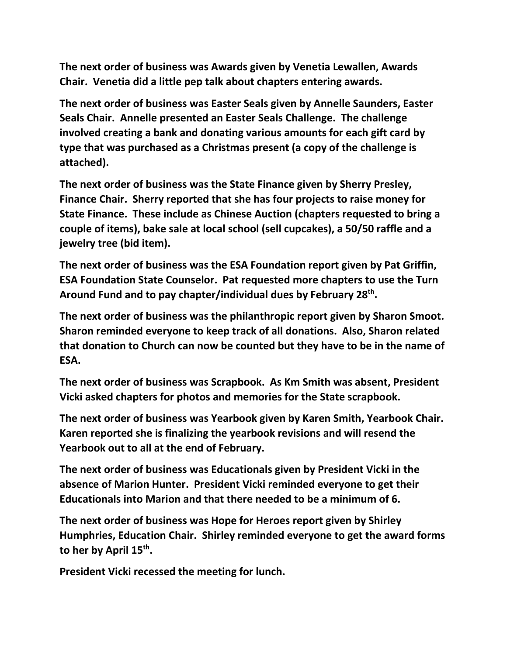**The next order of business was Awards given by Venetia Lewallen, Awards Chair. Venetia did a little pep talk about chapters entering awards.**

**The next order of business was Easter Seals given by Annelle Saunders, Easter Seals Chair. Annelle presented an Easter Seals Challenge. The challenge involved creating a bank and donating various amounts for each gift card by type that was purchased as a Christmas present (a copy of the challenge is attached).**

**The next order of business was the State Finance given by Sherry Presley, Finance Chair. Sherry reported that she has four projects to raise money for State Finance. These include as Chinese Auction (chapters requested to bring a couple of items), bake sale at local school (sell cupcakes), a 50/50 raffle and a jewelry tree (bid item).**

**The next order of business was the ESA Foundation report given by Pat Griffin, ESA Foundation State Counselor. Pat requested more chapters to use the Turn Around Fund and to pay chapter/individual dues by February 28th.**

**The next order of business was the philanthropic report given by Sharon Smoot. Sharon reminded everyone to keep track of all donations. Also, Sharon related that donation to Church can now be counted but they have to be in the name of ESA.**

**The next order of business was Scrapbook. As Km Smith was absent, President Vicki asked chapters for photos and memories for the State scrapbook.**

**The next order of business was Yearbook given by Karen Smith, Yearbook Chair. Karen reported she is finalizing the yearbook revisions and will resend the Yearbook out to all at the end of February.**

**The next order of business was Educationals given by President Vicki in the absence of Marion Hunter. President Vicki reminded everyone to get their Educationals into Marion and that there needed to be a minimum of 6.**

**The next order of business was Hope for Heroes report given by Shirley Humphries, Education Chair. Shirley reminded everyone to get the award forms to her by April 15th.**

**President Vicki recessed the meeting for lunch.**